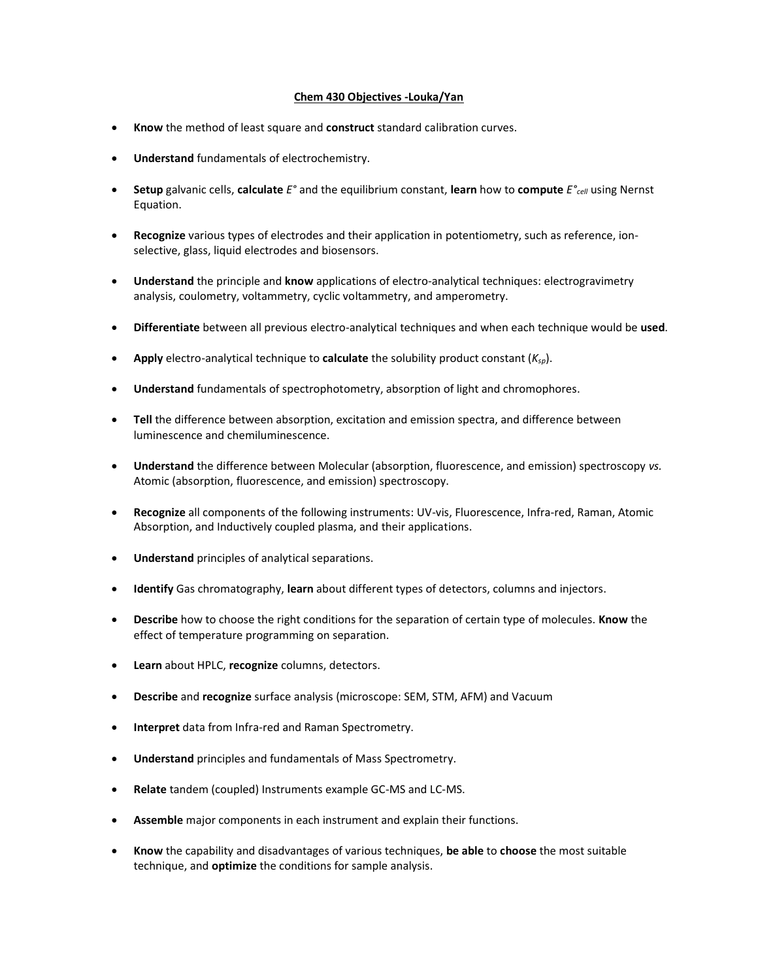## **Chem 430 Objectives -Louka/Yan**

- **Know** the method of least square and **construct** standard calibration curves.
- **Understand** fundamentals of electrochemistry.
- **Setup** galvanic cells, **calculate** *E°* and the equilibrium constant, **learn** how to **compute** *E°cell* using Nernst Equation.
- **Recognize** various types of electrodes and their application in potentiometry, such as reference, ionselective, glass, liquid electrodes and biosensors.
- **Understand** the principle and **know** applications of electro-analytical techniques: electrogravimetry analysis, coulometry, voltammetry, cyclic voltammetry, and amperometry.
- **Differentiate** between all previous electro-analytical techniques and when each technique would be **used**.
- **Apply** electro-analytical technique to **calculate** the solubility product constant (*Ksp*).
- **Understand** fundamentals of spectrophotometry, absorption of light and chromophores.
- **Tell** the difference between absorption, excitation and emission spectra, and difference between luminescence and chemiluminescence.
- **Understand** the difference between Molecular (absorption, fluorescence, and emission) spectroscopy *vs.*  Atomic (absorption, fluorescence, and emission) spectroscopy.
- **Recognize** all components of the following instruments: UV-vis, Fluorescence, Infra-red, Raman, Atomic Absorption, and Inductively coupled plasma, and their applications.
- **Understand** principles of analytical separations.
- **Identify** Gas chromatography, **learn** about different types of detectors, columns and injectors.
- **Describe** how to choose the right conditions for the separation of certain type of molecules. **Know** the effect of temperature programming on separation.
- **Learn** about HPLC, **recognize** columns, detectors.
- **Describe** and **recognize** surface analysis (microscope: SEM, STM, AFM) and Vacuum
- **Interpret** data from Infra-red and Raman Spectrometry.
- **Understand** principles and fundamentals of Mass Spectrometry.
- **Relate** tandem (coupled) Instruments example GC-MS and LC-MS.
- **Assemble** major components in each instrument and explain their functions.
- **Know** the capability and disadvantages of various techniques, **be able** to **choose** the most suitable technique, and **optimize** the conditions for sample analysis.